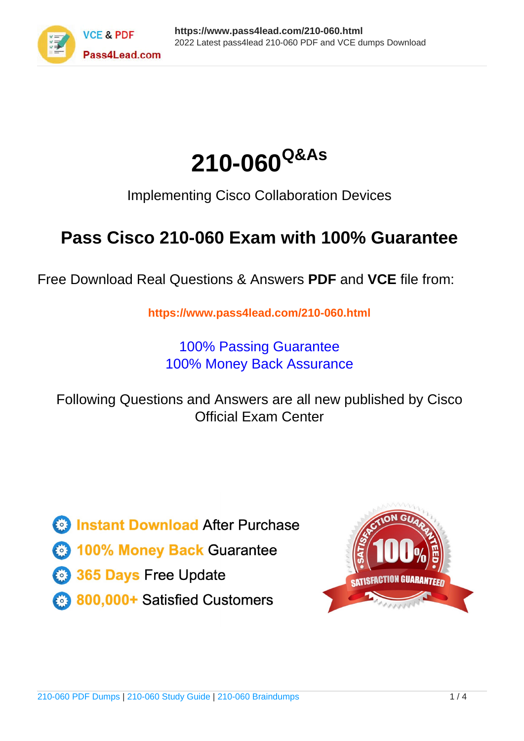



Implementing Cisco Collaboration Devices

## **Pass Cisco 210-060 Exam with 100% Guarantee**

Free Download Real Questions & Answers **PDF** and **VCE** file from:

**https://www.pass4lead.com/210-060.html**

100% Passing Guarantee 100% Money Back Assurance

Following Questions and Answers are all new published by Cisco Official Exam Center

**C** Instant Download After Purchase

**83 100% Money Back Guarantee** 

- 365 Days Free Update
- 800,000+ Satisfied Customers

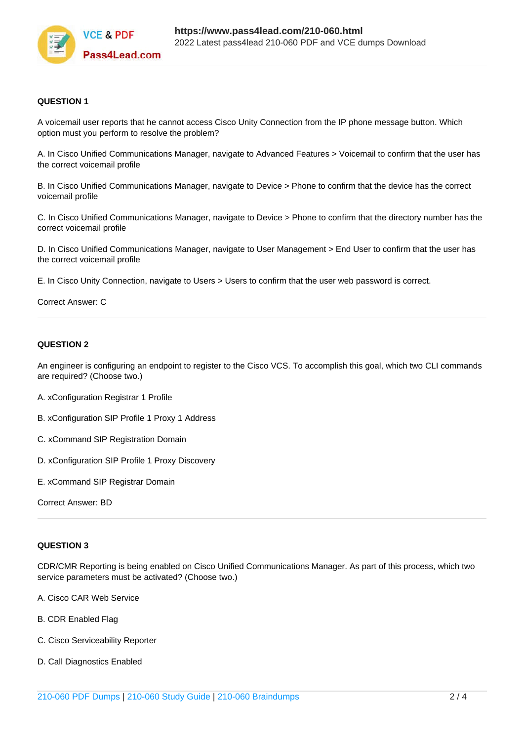

#### **QUESTION 1**

A voicemail user reports that he cannot access Cisco Unity Connection from the IP phone message button. Which option must you perform to resolve the problem?

A. In Cisco Unified Communications Manager, navigate to Advanced Features > Voicemail to confirm that the user has the correct voicemail profile

B. In Cisco Unified Communications Manager, navigate to Device > Phone to confirm that the device has the correct voicemail profile

C. In Cisco Unified Communications Manager, navigate to Device > Phone to confirm that the directory number has the correct voicemail profile

D. In Cisco Unified Communications Manager, navigate to User Management > End User to confirm that the user has the correct voicemail profile

E. In Cisco Unity Connection, navigate to Users > Users to confirm that the user web password is correct.

#### Correct Answer: C

#### **QUESTION 2**

An engineer is configuring an endpoint to register to the Cisco VCS. To accomplish this goal, which two CLI commands are required? (Choose two.)

- A. xConfiguration Registrar 1 Profile
- B. xConfiguration SIP Profile 1 Proxy 1 Address
- C. xCommand SIP Registration Domain
- D. xConfiguration SIP Profile 1 Proxy Discovery
- E. xCommand SIP Registrar Domain

Correct Answer: BD

#### **QUESTION 3**

CDR/CMR Reporting is being enabled on Cisco Unified Communications Manager. As part of this process, which two service parameters must be activated? (Choose two.)

- A. Cisco CAR Web Service
- B. CDR Enabled Flag
- C. Cisco Serviceability Reporter
- D. Call Diagnostics Enabled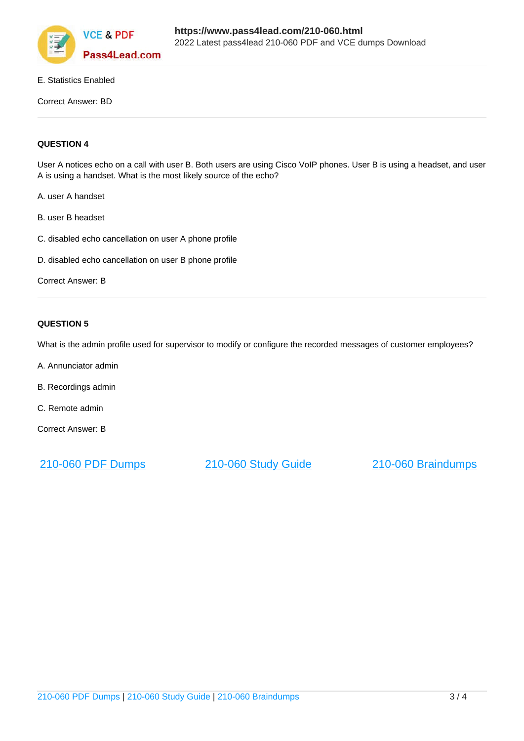

#### E. Statistics Enabled

Correct Answer: BD

#### **QUESTION 4**

User A notices echo on a call with user B. Both users are using Cisco VoIP phones. User B is using a headset, and user A is using a handset. What is the most likely source of the echo?

- A. user A handset
- B. user B headset
- C. disabled echo cancellation on user A phone profile
- D. disabled echo cancellation on user B phone profile

Correct Answer: B

#### **QUESTION 5**

What is the admin profile used for supervisor to modify or configure the recorded messages of customer employees?

- A. Annunciator admin
- B. Recordings admin
- C. Remote admin
- Correct Answer: B

[210-060 PDF Dumps](https://www.pass4lead.com/210-060.html) [210-060 Study Guide](https://www.pass4lead.com/210-060.html) [210-060 Braindumps](https://www.pass4lead.com/210-060.html)